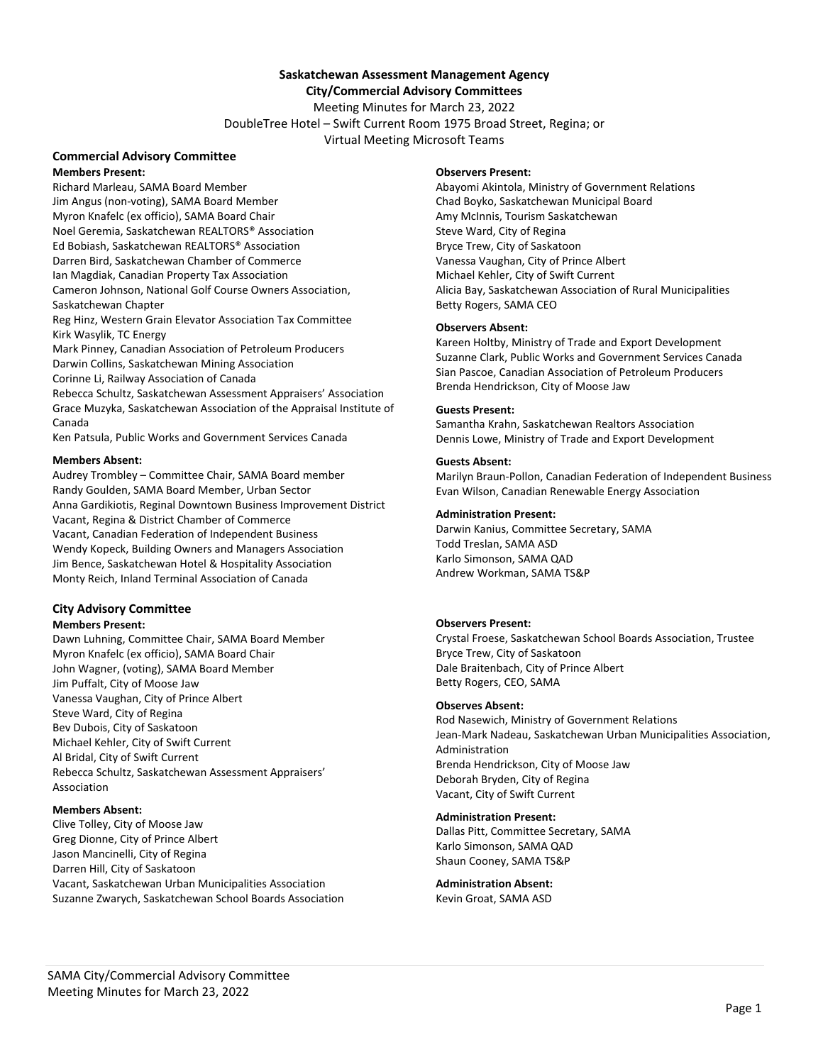# **Saskatchewan Assessment Management Agency**

# **City/Commercial Advisory Committees**

Meeting Minutes for March 23, 2022 DoubleTree Hotel – Swift Current Room 1975 Broad Street, Regina; or Virtual Meeting Microsoft Teams

# **Commercial Advisory Committee**

**Members Present:** Richard Marleau, SAMA Board Member Jim Angus (non‐voting), SAMA Board Member Myron Knafelc (ex officio), SAMA Board Chair Noel Geremia, Saskatchewan REALTORS® Association Ed Bobiash, Saskatchewan REALTORS® Association Darren Bird, Saskatchewan Chamber of Commerce Ian Magdiak, Canadian Property Tax Association Cameron Johnson, National Golf Course Owners Association, Saskatchewan Chapter Reg Hinz, Western Grain Elevator Association Tax Committee Kirk Wasylik, TC Energy Mark Pinney, Canadian Association of Petroleum Producers Darwin Collins, Saskatchewan Mining Association Corinne Li, Railway Association of Canada Rebecca Schultz, Saskatchewan Assessment Appraisers' Association Grace Muzyka, Saskatchewan Association of the Appraisal Institute of Canada Ken Patsula, Public Works and Government Services Canada

#### **Members Absent:**

Audrey Trombley – Committee Chair, SAMA Board member Randy Goulden, SAMA Board Member, Urban Sector Anna Gardikiotis, Reginal Downtown Business Improvement District Vacant, Regina & District Chamber of Commerce Vacant, Canadian Federation of Independent Business Wendy Kopeck, Building Owners and Managers Association Jim Bence, Saskatchewan Hotel & Hospitality Association Monty Reich, Inland Terminal Association of Canada

## **City Advisory Committee**

#### **Members Present:**

Dawn Luhning, Committee Chair, SAMA Board Member Myron Knafelc (ex officio), SAMA Board Chair John Wagner, (voting), SAMA Board Member Jim Puffalt, City of Moose Jaw Vanessa Vaughan, City of Prince Albert Steve Ward, City of Regina Bev Dubois, City of Saskatoon Michael Kehler, City of Swift Current Al Bridal, City of Swift Current Rebecca Schultz, Saskatchewan Assessment Appraisers' Association

#### **Members Absent:**

Clive Tolley, City of Moose Jaw Greg Dionne, City of Prince Albert Jason Mancinelli, City of Regina Darren Hill, City of Saskatoon Vacant, Saskatchewan Urban Municipalities Association Suzanne Zwarych, Saskatchewan School Boards Association

#### **Observers Present:**

Abayomi Akintola, Ministry of Government Relations Chad Boyko, Saskatchewan Municipal Board Amy McInnis, Tourism Saskatchewan Steve Ward, City of Regina Bryce Trew, City of Saskatoon Vanessa Vaughan, City of Prince Albert Michael Kehler, City of Swift Current Alicia Bay, Saskatchewan Association of Rural Municipalities Betty Rogers, SAMA CEO

#### **Observers Absent:**

Kareen Holtby, Ministry of Trade and Export Development Suzanne Clark, Public Works and Government Services Canada Sian Pascoe, Canadian Association of Petroleum Producers Brenda Hendrickson, City of Moose Jaw

#### **Guests Present:**

Samantha Krahn, Saskatchewan Realtors Association Dennis Lowe, Ministry of Trade and Export Development

#### **Guests Absent:**

Marilyn Braun‐Pollon, Canadian Federation of Independent Business Evan Wilson, Canadian Renewable Energy Association

#### **Administration Present:**

Darwin Kanius, Committee Secretary, SAMA Todd Treslan, SAMA ASD Karlo Simonson, SAMA QAD Andrew Workman, SAMA TS&P

#### **Observers Present:**

Crystal Froese, Saskatchewan School Boards Association, Trustee Bryce Trew, City of Saskatoon Dale Braitenbach, City of Prince Albert Betty Rogers, CEO, SAMA

#### **Observes Absent:**

Rod Nasewich, Ministry of Government Relations Jean‐Mark Nadeau, Saskatchewan Urban Municipalities Association, Administration Brenda Hendrickson, City of Moose Jaw Deborah Bryden, City of Regina Vacant, City of Swift Current

#### **Administration Present:**

Dallas Pitt, Committee Secretary, SAMA Karlo Simonson, SAMA QAD Shaun Cooney, SAMA TS&P

**Administration Absent:**  Kevin Groat, SAMA ASD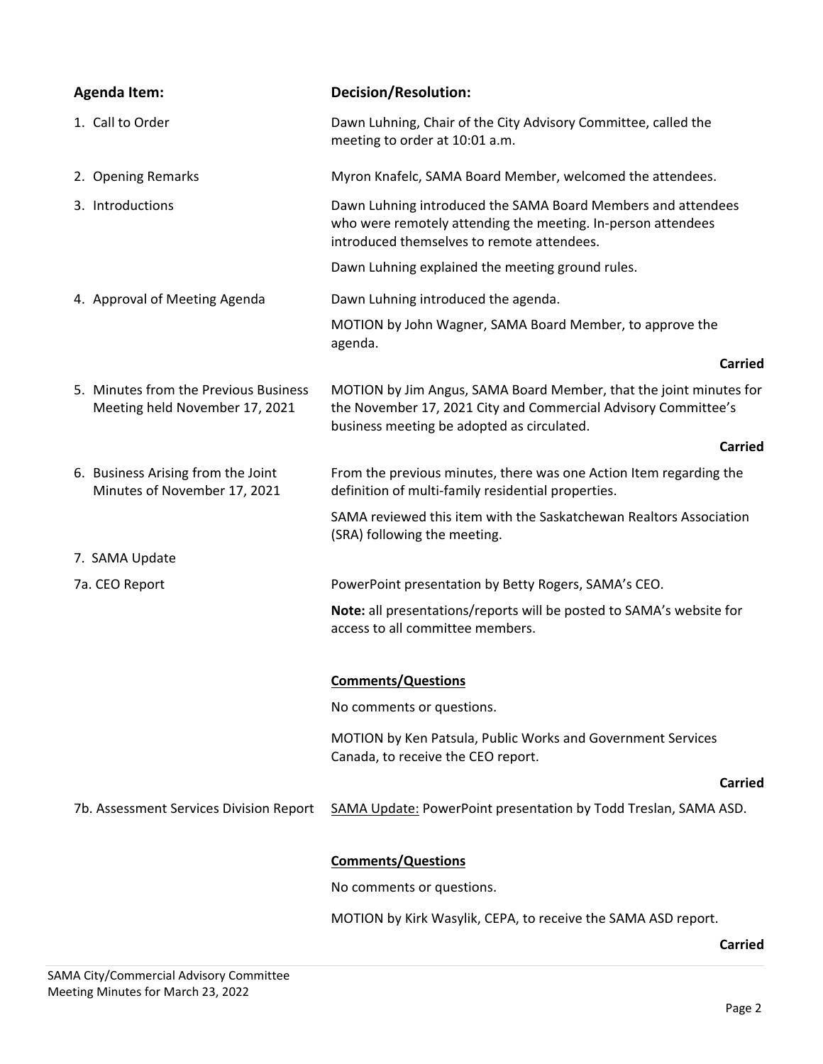| <b>Agenda Item:</b>                                                     | <b>Decision/Resolution:</b>                                                                                                                                                        |
|-------------------------------------------------------------------------|------------------------------------------------------------------------------------------------------------------------------------------------------------------------------------|
| 1. Call to Order                                                        | Dawn Luhning, Chair of the City Advisory Committee, called the<br>meeting to order at 10:01 a.m.                                                                                   |
| 2. Opening Remarks                                                      | Myron Knafelc, SAMA Board Member, welcomed the attendees.                                                                                                                          |
| 3. Introductions                                                        | Dawn Luhning introduced the SAMA Board Members and attendees<br>who were remotely attending the meeting. In-person attendees<br>introduced themselves to remote attendees.         |
|                                                                         | Dawn Luhning explained the meeting ground rules.                                                                                                                                   |
| 4. Approval of Meeting Agenda                                           | Dawn Luhning introduced the agenda.                                                                                                                                                |
|                                                                         | MOTION by John Wagner, SAMA Board Member, to approve the<br>agenda.                                                                                                                |
|                                                                         | <b>Carried</b>                                                                                                                                                                     |
| 5. Minutes from the Previous Business<br>Meeting held November 17, 2021 | MOTION by Jim Angus, SAMA Board Member, that the joint minutes for<br>the November 17, 2021 City and Commercial Advisory Committee's<br>business meeting be adopted as circulated. |
|                                                                         | <b>Carried</b>                                                                                                                                                                     |
| 6. Business Arising from the Joint<br>Minutes of November 17, 2021      | From the previous minutes, there was one Action Item regarding the<br>definition of multi-family residential properties.                                                           |
|                                                                         | SAMA reviewed this item with the Saskatchewan Realtors Association<br>(SRA) following the meeting.                                                                                 |
| 7. SAMA Update                                                          |                                                                                                                                                                                    |
| 7a. CEO Report                                                          | PowerPoint presentation by Betty Rogers, SAMA's CEO.                                                                                                                               |
|                                                                         | Note: all presentations/reports will be posted to SAMA's website for<br>access to all committee members.                                                                           |
|                                                                         | <b>Comments/Questions</b>                                                                                                                                                          |
|                                                                         | No comments or questions.                                                                                                                                                          |
|                                                                         | MOTION by Ken Patsula, Public Works and Government Services<br>Canada, to receive the CEO report.                                                                                  |
|                                                                         | Carried                                                                                                                                                                            |
| 7b. Assessment Services Division Report                                 | SAMA Update: PowerPoint presentation by Todd Treslan, SAMA ASD.                                                                                                                    |
|                                                                         | <b>Comments/Questions</b>                                                                                                                                                          |
|                                                                         | No comments or questions.                                                                                                                                                          |
|                                                                         | MOTION by Kirk Wasylik, CEPA, to receive the SAMA ASD report.                                                                                                                      |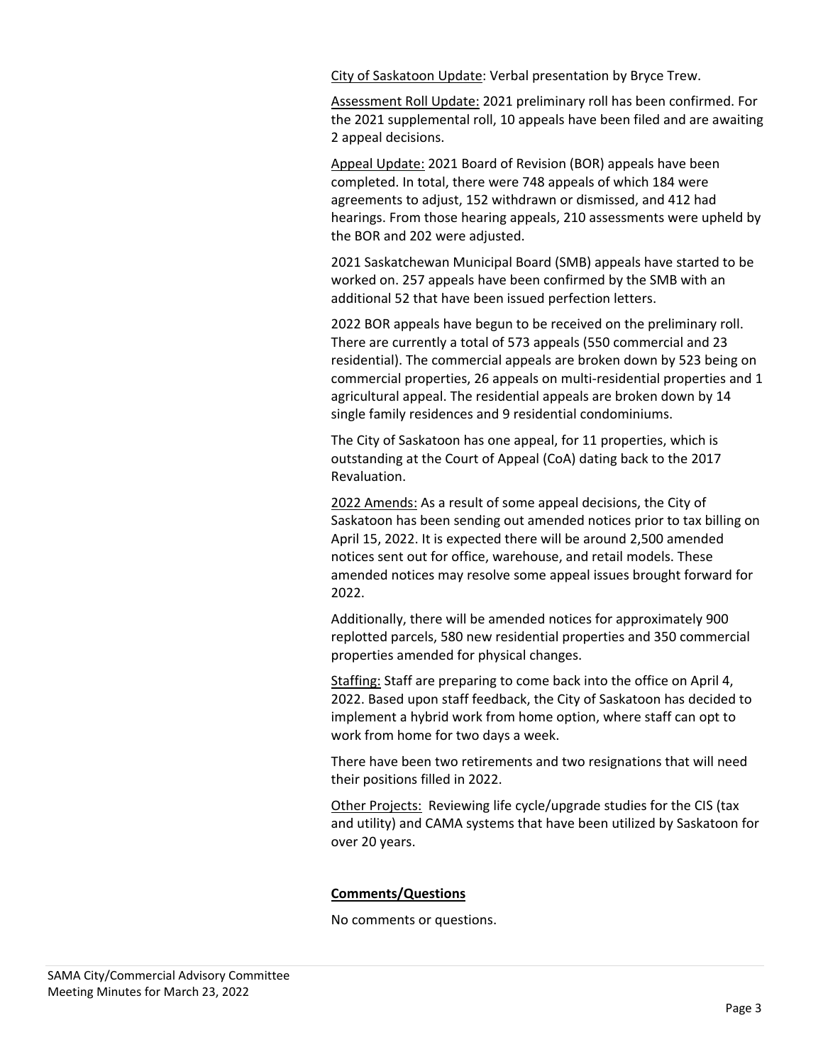City of Saskatoon Update: Verbal presentation by Bryce Trew.

Assessment Roll Update: 2021 preliminary roll has been confirmed. For the 2021 supplemental roll, 10 appeals have been filed and are awaiting 2 appeal decisions.

Appeal Update: 2021 Board of Revision (BOR) appeals have been completed. In total, there were 748 appeals of which 184 were agreements to adjust, 152 withdrawn or dismissed, and 412 had hearings. From those hearing appeals, 210 assessments were upheld by the BOR and 202 were adjusted.

2021 Saskatchewan Municipal Board (SMB) appeals have started to be worked on. 257 appeals have been confirmed by the SMB with an additional 52 that have been issued perfection letters.

2022 BOR appeals have begun to be received on the preliminary roll. There are currently a total of 573 appeals (550 commercial and 23 residential). The commercial appeals are broken down by 523 being on commercial properties, 26 appeals on multi‐residential properties and 1 agricultural appeal. The residential appeals are broken down by 14 single family residences and 9 residential condominiums.

The City of Saskatoon has one appeal, for 11 properties, which is outstanding at the Court of Appeal (CoA) dating back to the 2017 Revaluation.

2022 Amends: As a result of some appeal decisions, the City of Saskatoon has been sending out amended notices prior to tax billing on April 15, 2022. It is expected there will be around 2,500 amended notices sent out for office, warehouse, and retail models. These amended notices may resolve some appeal issues brought forward for 2022.

Additionally, there will be amended notices for approximately 900 replotted parcels, 580 new residential properties and 350 commercial properties amended for physical changes.

Staffing: Staff are preparing to come back into the office on April 4, 2022. Based upon staff feedback, the City of Saskatoon has decided to implement a hybrid work from home option, where staff can opt to work from home for two days a week.

There have been two retirements and two resignations that will need their positions filled in 2022.

Other Projects: Reviewing life cycle/upgrade studies for the CIS (tax and utility) and CAMA systems that have been utilized by Saskatoon for over 20 years.

## **Comments/Questions**

No comments or questions.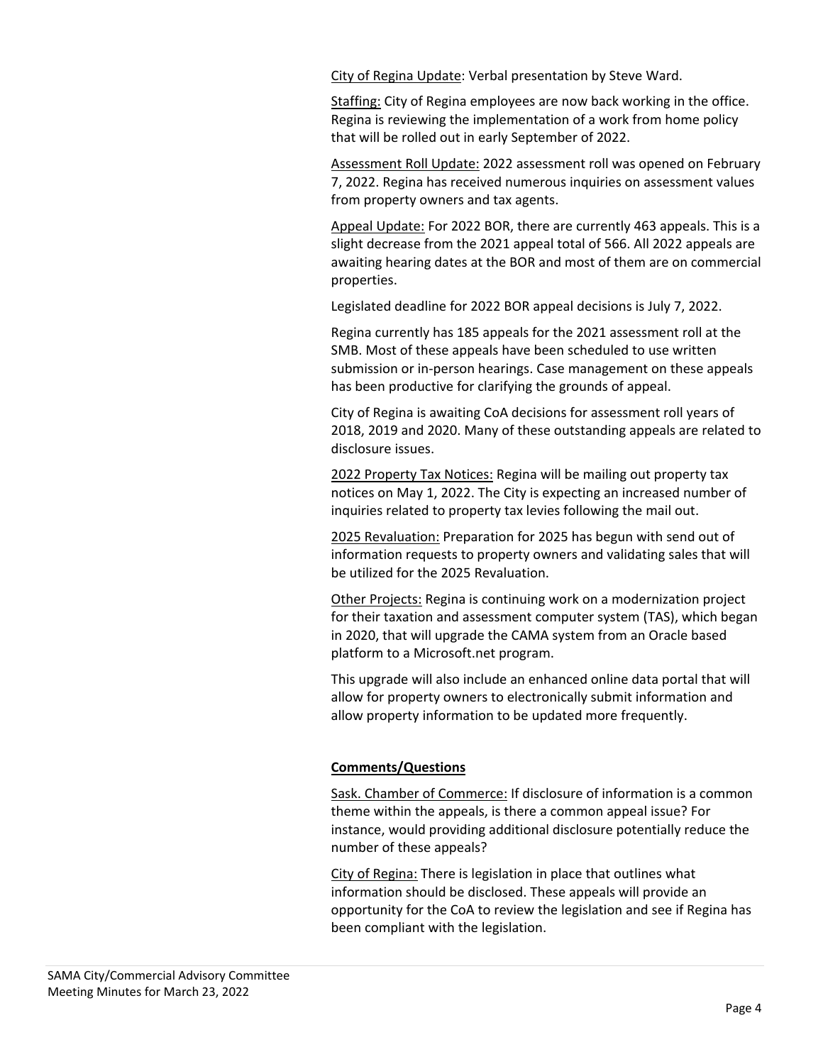City of Regina Update: Verbal presentation by Steve Ward.

Staffing: City of Regina employees are now back working in the office. Regina is reviewing the implementation of a work from home policy that will be rolled out in early September of 2022.

Assessment Roll Update: 2022 assessment roll was opened on February 7, 2022. Regina has received numerous inquiries on assessment values from property owners and tax agents.

Appeal Update: For 2022 BOR, there are currently 463 appeals. This is a slight decrease from the 2021 appeal total of 566. All 2022 appeals are awaiting hearing dates at the BOR and most of them are on commercial properties.

Legislated deadline for 2022 BOR appeal decisions is July 7, 2022.

Regina currently has 185 appeals for the 2021 assessment roll at the SMB. Most of these appeals have been scheduled to use written submission or in‐person hearings. Case management on these appeals has been productive for clarifying the grounds of appeal.

City of Regina is awaiting CoA decisions for assessment roll years of 2018, 2019 and 2020. Many of these outstanding appeals are related to disclosure issues.

2022 Property Tax Notices: Regina will be mailing out property tax notices on May 1, 2022. The City is expecting an increased number of inquiries related to property tax levies following the mail out.

2025 Revaluation: Preparation for 2025 has begun with send out of information requests to property owners and validating sales that will be utilized for the 2025 Revaluation.

Other Projects: Regina is continuing work on a modernization project for their taxation and assessment computer system (TAS), which began in 2020, that will upgrade the CAMA system from an Oracle based platform to a Microsoft.net program.

This upgrade will also include an enhanced online data portal that will allow for property owners to electronically submit information and allow property information to be updated more frequently.

## **Comments/Questions**

Sask. Chamber of Commerce: If disclosure of information is a common theme within the appeals, is there a common appeal issue? For instance, would providing additional disclosure potentially reduce the number of these appeals?

City of Regina: There is legislation in place that outlines what information should be disclosed. These appeals will provide an opportunity for the CoA to review the legislation and see if Regina has been compliant with the legislation.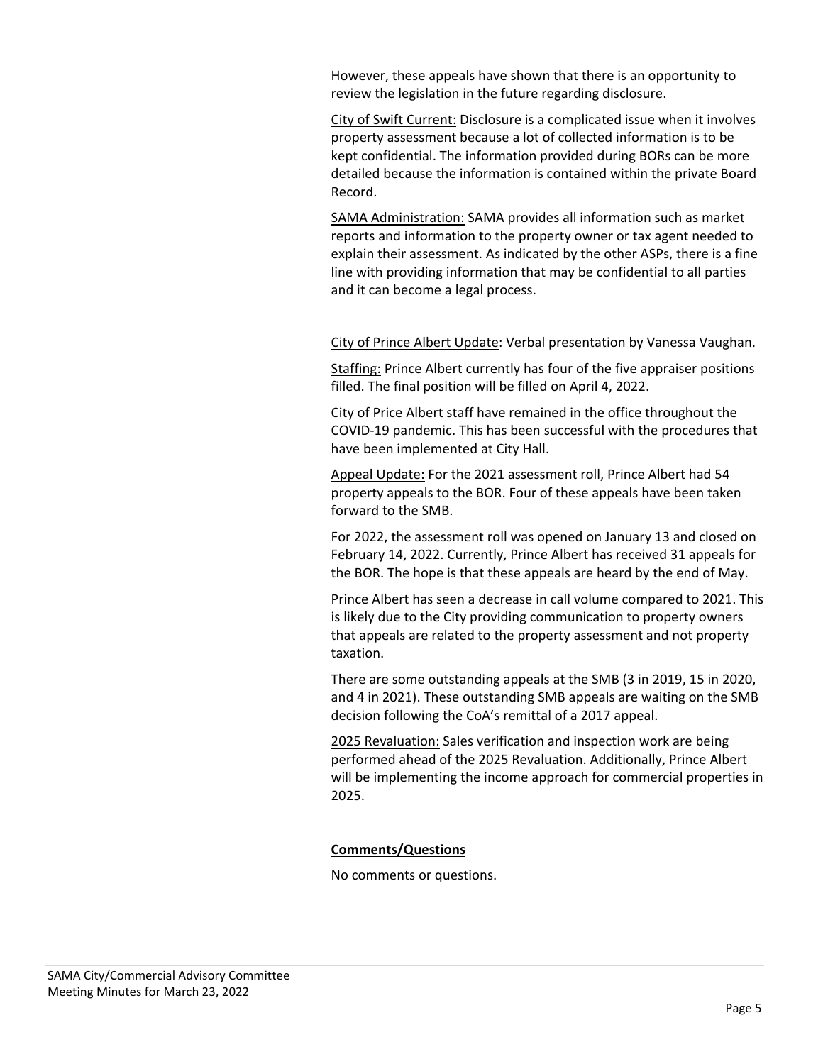However, these appeals have shown that there is an opportunity to review the legislation in the future regarding disclosure.

City of Swift Current: Disclosure is a complicated issue when it involves property assessment because a lot of collected information is to be kept confidential. The information provided during BORs can be more detailed because the information is contained within the private Board Record.

SAMA Administration: SAMA provides all information such as market reports and information to the property owner or tax agent needed to explain their assessment. As indicated by the other ASPs, there is a fine line with providing information that may be confidential to all parties and it can become a legal process.

City of Prince Albert Update: Verbal presentation by Vanessa Vaughan.

Staffing: Prince Albert currently has four of the five appraiser positions filled. The final position will be filled on April 4, 2022.

City of Price Albert staff have remained in the office throughout the COVID‐19 pandemic. This has been successful with the procedures that have been implemented at City Hall.

Appeal Update: For the 2021 assessment roll, Prince Albert had 54 property appeals to the BOR. Four of these appeals have been taken forward to the SMB.

For 2022, the assessment roll was opened on January 13 and closed on February 14, 2022. Currently, Prince Albert has received 31 appeals for the BOR. The hope is that these appeals are heard by the end of May.

Prince Albert has seen a decrease in call volume compared to 2021. This is likely due to the City providing communication to property owners that appeals are related to the property assessment and not property taxation.

There are some outstanding appeals at the SMB (3 in 2019, 15 in 2020, and 4 in 2021). These outstanding SMB appeals are waiting on the SMB decision following the CoA's remittal of a 2017 appeal.

2025 Revaluation: Sales verification and inspection work are being performed ahead of the 2025 Revaluation. Additionally, Prince Albert will be implementing the income approach for commercial properties in 2025.

## **Comments/Questions**

No comments or questions.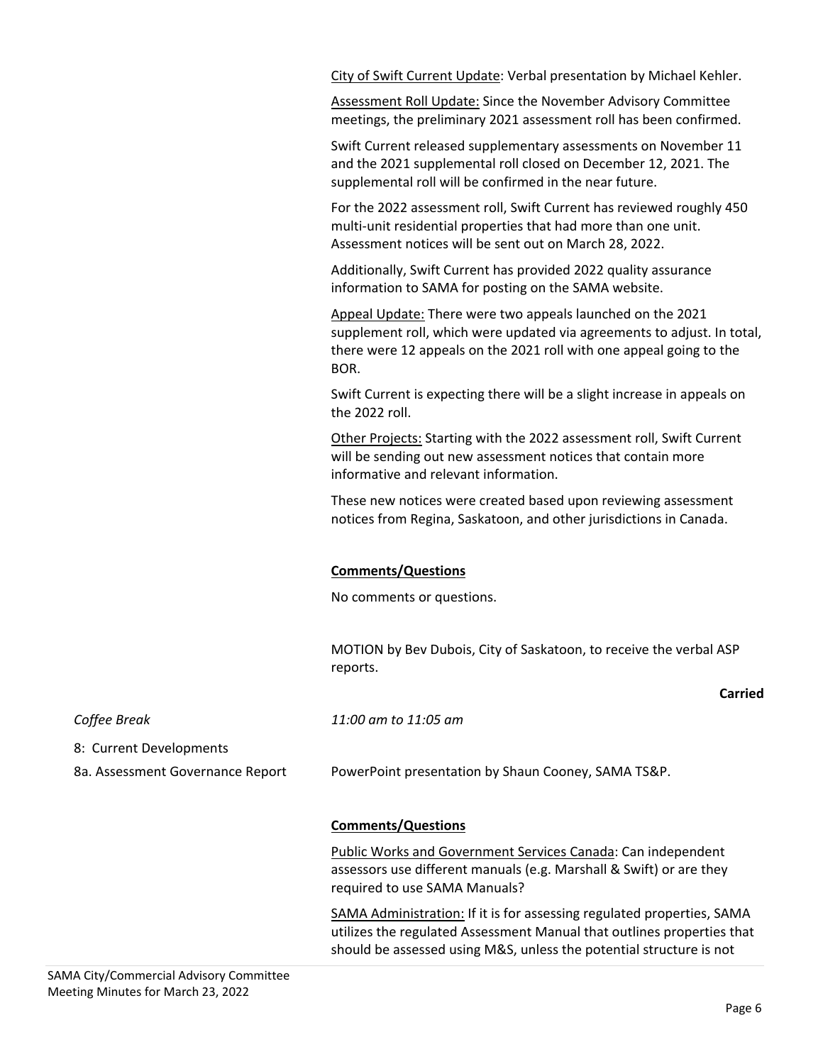City of Swift Current Update: Verbal presentation by Michael Kehler.

Assessment Roll Update: Since the November Advisory Committee meetings, the preliminary 2021 assessment roll has been confirmed.

Swift Current released supplementary assessments on November 11 and the 2021 supplemental roll closed on December 12, 2021. The supplemental roll will be confirmed in the near future.

For the 2022 assessment roll, Swift Current has reviewed roughly 450 multi-unit residential properties that had more than one unit. Assessment notices will be sent out on March 28, 2022.

Additionally, Swift Current has provided 2022 quality assurance information to SAMA for posting on the SAMA website.

Appeal Update: There were two appeals launched on the 2021 supplement roll, which were updated via agreements to adjust. In total, there were 12 appeals on the 2021 roll with one appeal going to the BOR.

Swift Current is expecting there will be a slight increase in appeals on the 2022 roll.

Other Projects: Starting with the 2022 assessment roll, Swift Current will be sending out new assessment notices that contain more informative and relevant information.

These new notices were created based upon reviewing assessment notices from Regina, Saskatoon, and other jurisdictions in Canada.

## **Comments/Questions**

No comments or questions.

MOTION by Bev Dubois, City of Saskatoon, to receive the verbal ASP reports.

| Coffee Break                     | 11:00 am to 11:05 am                                                                                                                          |
|----------------------------------|-----------------------------------------------------------------------------------------------------------------------------------------------|
| 8: Current Developments          |                                                                                                                                               |
| 8a. Assessment Governance Report | PowerPoint presentation by Shaun Cooney, SAMA TS&P.                                                                                           |
|                                  |                                                                                                                                               |
|                                  | <b>Comments/Questions</b>                                                                                                                     |
|                                  | Public Works and Government Services Canada: Can independent                                                                                  |
|                                  | assessors use different manuals (e.g. Marshall & Swift) or are they<br>required to use SAMA Manuals?                                          |
|                                  |                                                                                                                                               |
|                                  | SAMA Administration: If it is for assessing regulated properties, SAMA                                                                        |
|                                  | utilizes the regulated Assessment Manual that outlines properties that<br>should be assessed using M&S, unless the potential structure is not |
|                                  |                                                                                                                                               |

**Carried**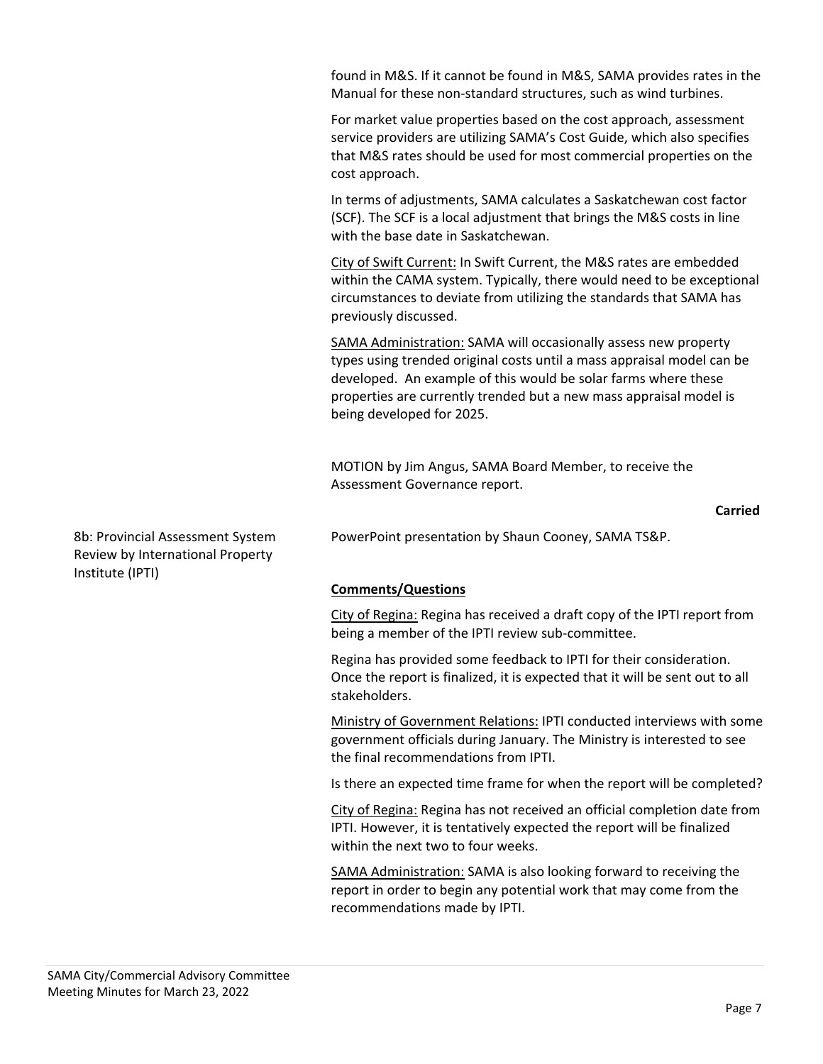found in M&S. If it cannot be found in M&S, SAMA provides rates in the Manual for these non‐standard structures, such as wind turbines.

For market value properties based on the cost approach, assessment service providers are utilizing SAMA's Cost Guide, which also specifies that M&S rates should be used for most commercial properties on the cost approach.

In terms of adjustments, SAMA calculates a Saskatchewan cost factor (SCF). The SCF is a local adjustment that brings the M&S costs in line with the base date in Saskatchewan.

City of Swift Current: In Swift Current, the M&S rates are embedded within the CAMA system. Typically, there would need to be exceptional circumstances to deviate from utilizing the standards that SAMA has previously discussed.

SAMA Administration: SAMA will occasionally assess new property types using trended original costs until a mass appraisal model can be developed. An example of this would be solar farms where these properties are currently trended but a new mass appraisal model is being developed for 2025.

MOTION by Jim Angus, SAMA Board Member, to receive the Assessment Governance report.

## **Carried**

8b: Provincial Assessment System Review by International Property Institute (IPTI)

PowerPoint presentation by Shaun Cooney, SAMA TS&P.

## **Comments/Questions**

City of Regina: Regina has received a draft copy of the IPTI report from being a member of the IPTI review sub‐committee.

Regina has provided some feedback to IPTI for their consideration. Once the report is finalized, it is expected that it will be sent out to all stakeholders.

Ministry of Government Relations: IPTI conducted interviews with some government officials during January. The Ministry is interested to see the final recommendations from IPTI.

Is there an expected time frame for when the report will be completed?

City of Regina: Regina has not received an official completion date from IPTI. However, it is tentatively expected the report will be finalized within the next two to four weeks.

SAMA Administration: SAMA is also looking forward to receiving the report in order to begin any potential work that may come from the recommendations made by IPTI.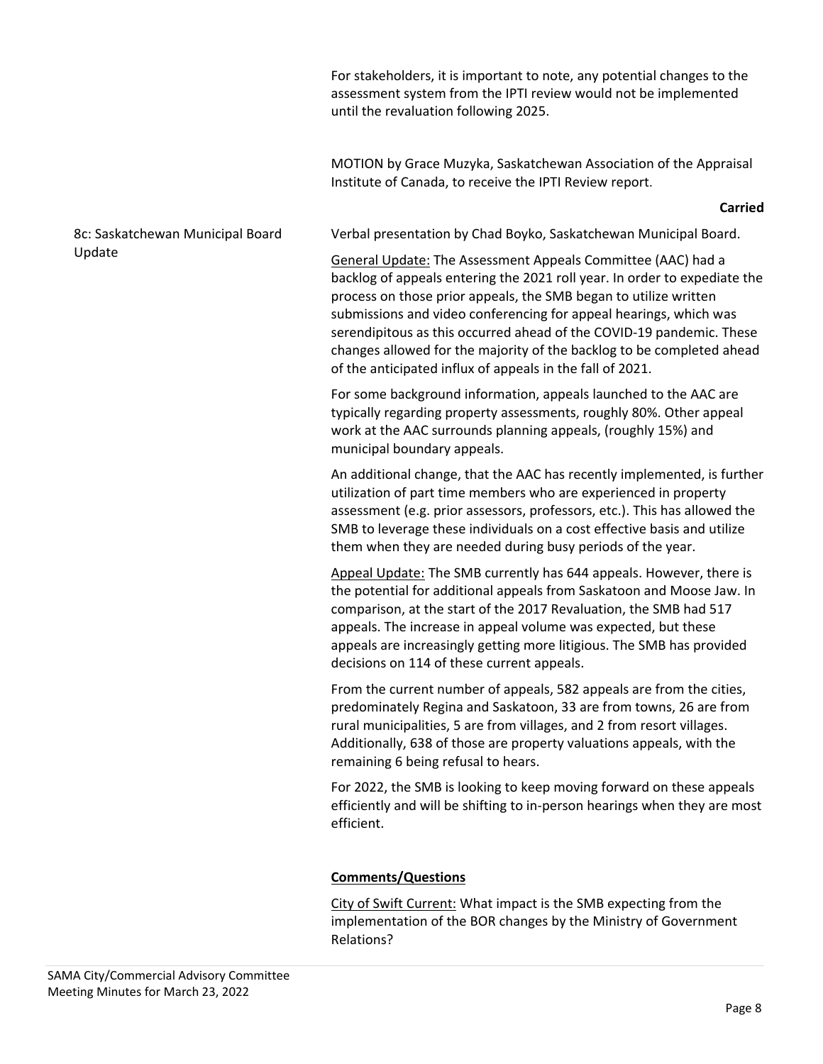For stakeholders, it is important to note, any potential changes to the assessment system from the IPTI review would not be implemented until the revaluation following 2025.

MOTION by Grace Muzyka, Saskatchewan Association of the Appraisal Institute of Canada, to receive the IPTI Review report.

#### **Carried**

## 8c: Saskatchewan Municipal Board Update

Verbal presentation by Chad Boyko, Saskatchewan Municipal Board.

General Update: The Assessment Appeals Committee (AAC) had a backlog of appeals entering the 2021 roll year. In order to expediate the process on those prior appeals, the SMB began to utilize written submissions and video conferencing for appeal hearings, which was serendipitous as this occurred ahead of the COVID‐19 pandemic. These changes allowed for the majority of the backlog to be completed ahead of the anticipated influx of appeals in the fall of 2021.

For some background information, appeals launched to the AAC are typically regarding property assessments, roughly 80%. Other appeal work at the AAC surrounds planning appeals, (roughly 15%) and municipal boundary appeals.

An additional change, that the AAC has recently implemented, is further utilization of part time members who are experienced in property assessment (e.g. prior assessors, professors, etc.). This has allowed the SMB to leverage these individuals on a cost effective basis and utilize them when they are needed during busy periods of the year.

Appeal Update: The SMB currently has 644 appeals. However, there is the potential for additional appeals from Saskatoon and Moose Jaw. In comparison, at the start of the 2017 Revaluation, the SMB had 517 appeals. The increase in appeal volume was expected, but these appeals are increasingly getting more litigious. The SMB has provided decisions on 114 of these current appeals.

From the current number of appeals, 582 appeals are from the cities, predominately Regina and Saskatoon, 33 are from towns, 26 are from rural municipalities, 5 are from villages, and 2 from resort villages. Additionally, 638 of those are property valuations appeals, with the remaining 6 being refusal to hears.

For 2022, the SMB is looking to keep moving forward on these appeals efficiently and will be shifting to in‐person hearings when they are most efficient.

## **Comments/Questions**

City of Swift Current: What impact is the SMB expecting from the implementation of the BOR changes by the Ministry of Government Relations?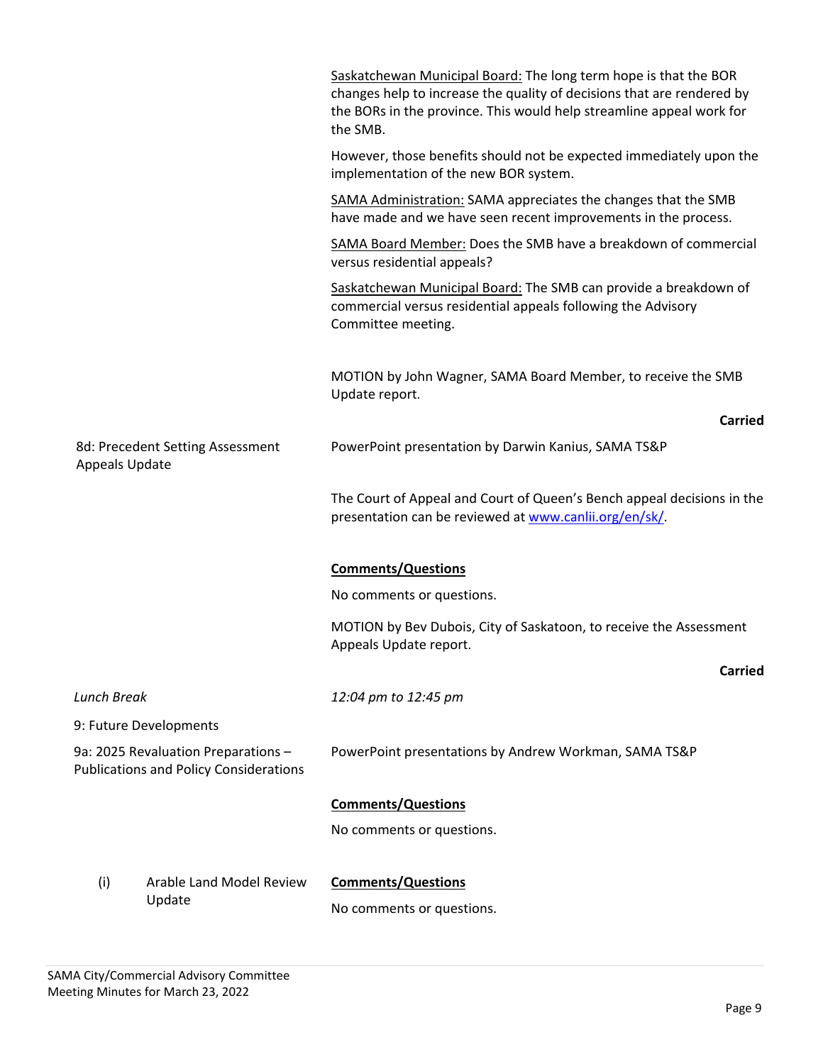|                                                                                      |                                                       | Saskatchewan Municipal Board: The long term hope is that the BOR<br>changes help to increase the quality of decisions that are rendered by<br>the BORs in the province. This would help streamline appeal work for<br>the SMB. |
|--------------------------------------------------------------------------------------|-------------------------------------------------------|--------------------------------------------------------------------------------------------------------------------------------------------------------------------------------------------------------------------------------|
|                                                                                      |                                                       | However, those benefits should not be expected immediately upon the<br>implementation of the new BOR system.                                                                                                                   |
|                                                                                      |                                                       | SAMA Administration: SAMA appreciates the changes that the SMB<br>have made and we have seen recent improvements in the process.                                                                                               |
|                                                                                      |                                                       | SAMA Board Member: Does the SMB have a breakdown of commercial<br>versus residential appeals?                                                                                                                                  |
|                                                                                      |                                                       | Saskatchewan Municipal Board: The SMB can provide a breakdown of<br>commercial versus residential appeals following the Advisory<br>Committee meeting.                                                                         |
|                                                                                      |                                                       | MOTION by John Wagner, SAMA Board Member, to receive the SMB<br>Update report.                                                                                                                                                 |
|                                                                                      |                                                       | <b>Carried</b>                                                                                                                                                                                                                 |
| <b>Appeals Update</b>                                                                | 8d: Precedent Setting Assessment                      | PowerPoint presentation by Darwin Kanius, SAMA TS&P                                                                                                                                                                            |
|                                                                                      |                                                       | The Court of Appeal and Court of Queen's Bench appeal decisions in the<br>presentation can be reviewed at www.canlii.org/en/sk/.                                                                                               |
|                                                                                      |                                                       | <b>Comments/Questions</b>                                                                                                                                                                                                      |
|                                                                                      |                                                       | No comments or questions.                                                                                                                                                                                                      |
|                                                                                      |                                                       | MOTION by Bev Dubois, City of Saskatoon, to receive the Assessment<br>Appeals Update report.                                                                                                                                   |
|                                                                                      |                                                       | <b>Carried</b>                                                                                                                                                                                                                 |
| <b>Lunch Break</b>                                                                   |                                                       | 12:04 pm to 12:45 pm                                                                                                                                                                                                           |
|                                                                                      | 9: Future Developments                                |                                                                                                                                                                                                                                |
| 9a: 2025 Revaluation Preparations -<br><b>Publications and Policy Considerations</b> | PowerPoint presentations by Andrew Workman, SAMA TS&P |                                                                                                                                                                                                                                |
|                                                                                      |                                                       | <b>Comments/Questions</b>                                                                                                                                                                                                      |
|                                                                                      |                                                       | No comments or questions.                                                                                                                                                                                                      |
| Arable Land Model Review<br>(i)<br>Update                                            |                                                       | <b>Comments/Questions</b>                                                                                                                                                                                                      |
|                                                                                      | No comments or questions.                             |                                                                                                                                                                                                                                |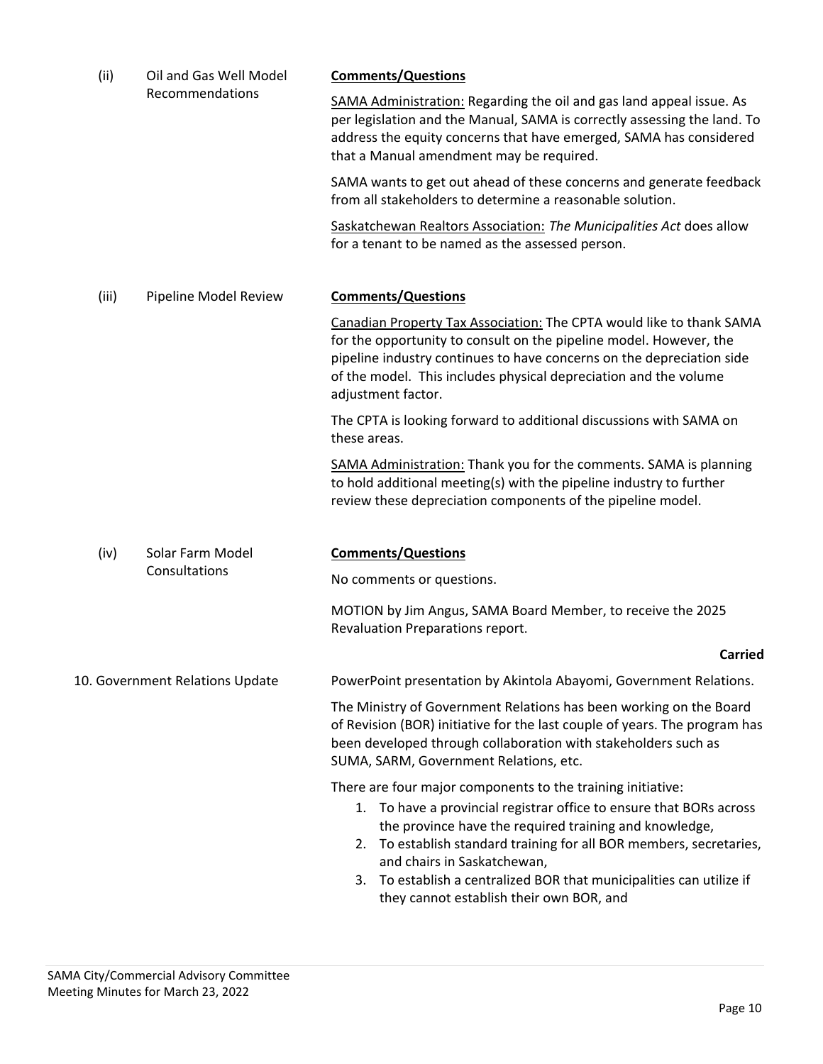| (ii)<br>Oil and Gas Well Model<br>Recommendations |                                                                                                                                                                                                                                                                                                               | <b>Comments/Questions</b>                                                                          |
|---------------------------------------------------|---------------------------------------------------------------------------------------------------------------------------------------------------------------------------------------------------------------------------------------------------------------------------------------------------------------|----------------------------------------------------------------------------------------------------|
|                                                   | SAMA Administration: Regarding the oil and gas land appeal issue. As<br>per legislation and the Manual, SAMA is correctly assessing the land. To<br>address the equity concerns that have emerged, SAMA has considered<br>that a Manual amendment may be required.                                            |                                                                                                    |
|                                                   | SAMA wants to get out ahead of these concerns and generate feedback<br>from all stakeholders to determine a reasonable solution.                                                                                                                                                                              |                                                                                                    |
|                                                   | Saskatchewan Realtors Association: The Municipalities Act does allow<br>for a tenant to be named as the assessed person.                                                                                                                                                                                      |                                                                                                    |
| (iii)<br>Pipeline Model Review                    | <b>Comments/Questions</b>                                                                                                                                                                                                                                                                                     |                                                                                                    |
|                                                   | Canadian Property Tax Association: The CPTA would like to thank SAMA<br>for the opportunity to consult on the pipeline model. However, the<br>pipeline industry continues to have concerns on the depreciation side<br>of the model. This includes physical depreciation and the volume<br>adjustment factor. |                                                                                                    |
|                                                   | The CPTA is looking forward to additional discussions with SAMA on<br>these areas.                                                                                                                                                                                                                            |                                                                                                    |
|                                                   | SAMA Administration: Thank you for the comments. SAMA is planning<br>to hold additional meeting(s) with the pipeline industry to further<br>review these depreciation components of the pipeline model.                                                                                                       |                                                                                                    |
| Solar Farm Model<br>(iv)                          |                                                                                                                                                                                                                                                                                                               | <b>Comments/Questions</b>                                                                          |
|                                                   | Consultations                                                                                                                                                                                                                                                                                                 | No comments or questions.                                                                          |
|                                                   | MOTION by Jim Angus, SAMA Board Member, to receive the 2025<br>Revaluation Preparations report.                                                                                                                                                                                                               |                                                                                                    |
|                                                   |                                                                                                                                                                                                                                                                                                               | <b>Carried</b>                                                                                     |
| 10. Government Relations Update                   |                                                                                                                                                                                                                                                                                                               | PowerPoint presentation by Akintola Abayomi, Government Relations.                                 |
|                                                   | The Ministry of Government Relations has been working on the Board<br>of Revision (BOR) initiative for the last couple of years. The program has<br>been developed through collaboration with stakeholders such as<br>SUMA, SARM, Government Relations, etc.                                                  |                                                                                                    |
|                                                   |                                                                                                                                                                                                                                                                                                               | There are four major components to the training initiative:                                        |
|                                                   | 1. To have a provincial registrar office to ensure that BORs across<br>the province have the required training and knowledge,                                                                                                                                                                                 |                                                                                                    |
|                                                   |                                                                                                                                                                                                                                                                                                               | 2. To establish standard training for all BOR members, secretaries,<br>and chairs in Saskatchewan, |
|                                                   | 3. To establish a centralized BOR that municipalities can utilize if<br>they cannot establish their own BOR, and                                                                                                                                                                                              |                                                                                                    |